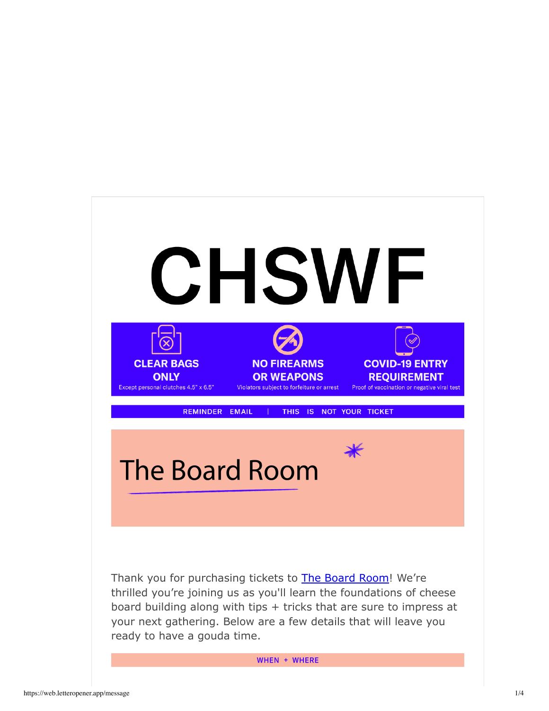

WHEN + WHERE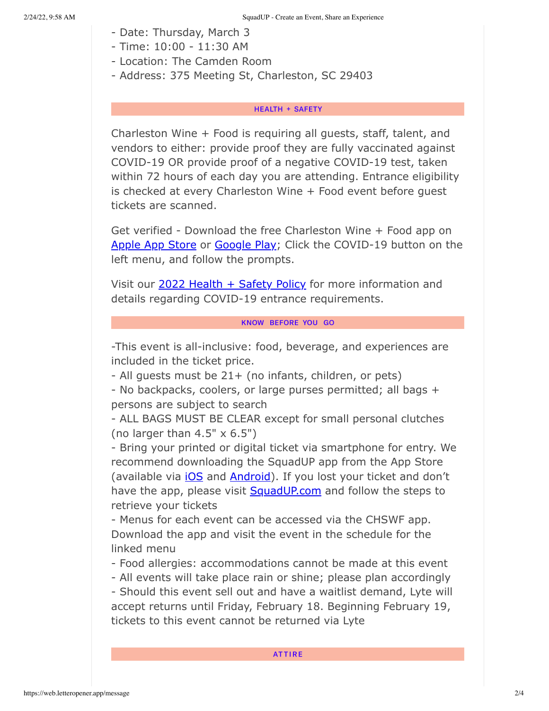- Date: Thursday, March 3
- Time: 10:00 11:30 AM
- Location: The Camden Room
- Address: 375 Meeting St, Charleston, SC 29403

# **HEALTH + SAFETY**

Charleston Wine + Food is requiring all guests, staff, talent, and vendors to either: provide proof they are fully vaccinated against COVID-19 OR provide proof of a negative COVID-19 test, taken within 72 hours of each day you are attending. Entrance eligibility is checked at every Charleston Wine + Food event before guest tickets are scanned.

Get verified - Download the free Charleston Wine + Food app on Apple App Store or Google Play; Click the COVID-19 button on the left menu, and follow the prompts.

Visit our 2022 Health + Safety Policy for more information and details regarding COVID-19 entrance requirements.

# KNOW BEFORE YOU GO

-This event is all-inclusive: food, beverage, and experiences are included in the ticket price.

- All guests must be 21+ (no infants, children, or pets)

- No backpacks, coolers, or large purses permitted; all bags + persons are subject to search

- ALL BAGS MUST BE CLEAR except for small personal clutches (no larger than  $4.5" \times 6.5"$ )

- Bring your printed or digital ticket via smartphone for entry. We recommend downloading the SquadUP app from the App Store (available via *iOS* and **Android**). If you lost your ticket and don't have the app, please visit SquadUP.com and follow the steps to retrieve your tickets

- Menus for each event can be accessed via the CHSWF app. Download the app and visit the event in the schedule for the linked menu

- Food allergies: accommodations cannot be made at this event

- All events will take place rain or shine; please plan accordingly

- Should this event sell out and have a waitlist demand, Lyte will accept returns until Friday, February 18. Beginning February 19, tickets to this event cannot be returned via Lyte

# **ATTIRE**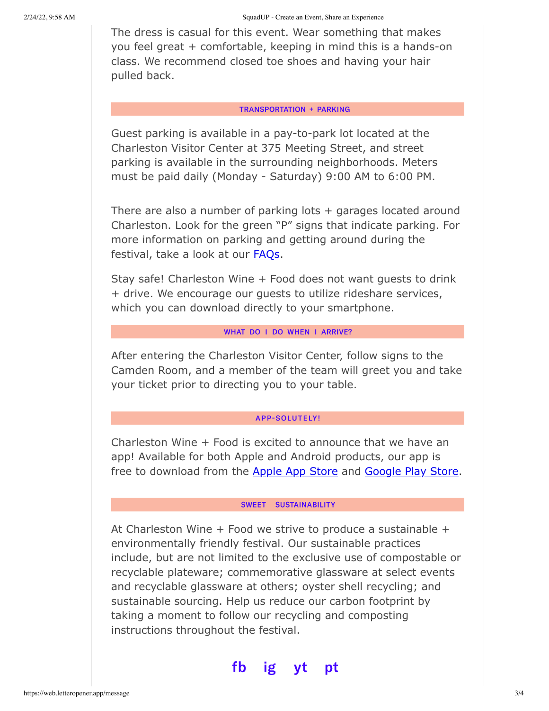The dress is casual for this event. Wear something that makes you feel great + comfortable, keeping in mind this is a hands-on class. We recommend closed toe shoes and having your hair pulled back.

## **TRANSPORTATION + PARKING**

Guest parking is available in a pay-to-park lot located at the Charleston Visitor Center at 375 Meeting Street, and street parking is available in the surrounding neighborhoods. Meters must be paid daily (Monday - Saturday) 9:00 AM to 6:00 PM.

There are also a number of parking lots + garages located around Charleston. Look for the green "P" signs that indicate parking. For more information on parking and getting around during the festival, take a look at our **FAQs**.

Stay safe! Charleston Wine + Food does not want guests to drink + drive. We encourage our guests to utilize rideshare services, which you can download directly to your smartphone.

# WHAT DO I DO WHEN I ARRIVE?

After entering the Charleston Visitor Center, follow signs to the Camden Room, and a member of the team will greet you and take your ticket prior to directing you to your table.

### **APP-SOLUTELY!**

Charleston Wine + Food is excited to announce that we have an app! Available for both Apple and Android products, our app is free to download from the Apple App Store and Google Play Store.

# SWEET SUSTAINABILITY

At Charleston Wine + Food we strive to produce a sustainable + environmentally friendly festival. Our sustainable practices include, but are not limited to the exclusive use of compostable or recyclable plateware; commemorative glassware at select events and recyclable glassware at others; oyster shell recycling; and sustainable sourcing. Help us reduce our carbon footprint by taking a moment to follow our recycling and composting instructions throughout the festival.

#### fb ig рt